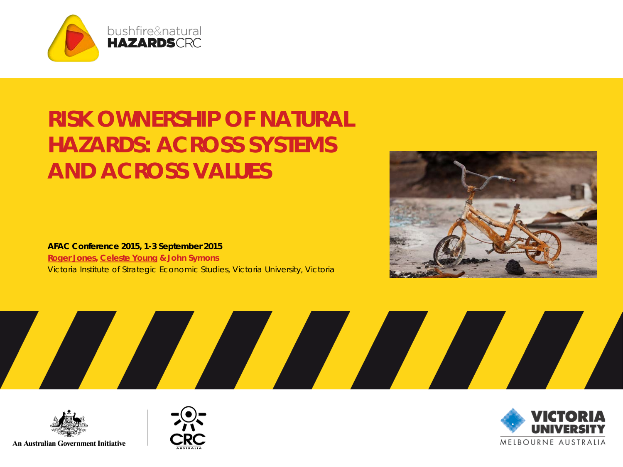

#### **RISK OWNERSHIP OF NATURAL HAZARDS: ACROSS SYSTEMS AND ACROSS VALUES**

**AFAC Conference 2015, 1-3 September 2015 Roger Jones, Celeste Young & John Symons** Victoria Institute of Strategic Economic Studies, Victoria University, Victoria



$$
\mathcal{L} \mathcal{L} \mathcal{L} \mathcal{L} \mathcal{L} \mathcal{L} \mathcal{L} \mathcal{L} \mathcal{L} \mathcal{L} \mathcal{L} \mathcal{L} \mathcal{L} \mathcal{L} \mathcal{L} \mathcal{L} \mathcal{L} \mathcal{L} \mathcal{L} \mathcal{L} \mathcal{L} \mathcal{L} \mathcal{L} \mathcal{L} \mathcal{L} \mathcal{L} \mathcal{L} \mathcal{L} \mathcal{L} \mathcal{L} \mathcal{L} \mathcal{L} \mathcal{L} \mathcal{L} \mathcal{L} \mathcal{L} \mathcal{L} \mathcal{L} \mathcal{L} \mathcal{L} \mathcal{L} \mathcal{L} \mathcal{L} \mathcal{L} \mathcal{L} \mathcal{L} \mathcal{L} \mathcal{L} \mathcal{L} \mathcal{L} \mathcal{L} \mathcal{L} \mathcal{L} \mathcal{L} \mathcal{L} \mathcal{L} \mathcal{L} \mathcal{L} \mathcal{L} \mathcal{L} \mathcal{L} \mathcal{L} \mathcal{L} \mathcal{L} \mathcal{L} \mathcal{L} \mathcal{L} \mathcal{L} \mathcal{L} \mathcal{L} \mathcal{L} \mathcal{L} \mathcal{L} \mathcal{L} \mathcal{L} \mathcal{L} \mathcal{L} \mathcal{L} \mathcal{L} \mathcal{L} \mathcal{L} \mathcal{L} \mathcal{L} \mathcal{L} \mathcal{L} \mathcal{L} \mathcal{L} \mathcal{L} \mathcal{L} \mathcal{L} \mathcal{L} \mathcal{L} \mathcal{L} \mathcal{L} \mathcal{L} \mathcal{L} \mathcal{L} \mathcal{L} \mathcal{L} \mathcal{L} \mathcal{L} \mathcal{L} \mathcal{L} \mathcal{L} \mathcal{L} \mathcal{L} \mathcal{L} \mathcal{L} \mathcal{L} \mathcal{L} \mathcal{L} \mathcal{L} \mathcal{L} \mathcal{L} \mathcal{L} \mathcal{L} \mathcal{L} \mathcal{L} \mathcal{L} \mathcal{L} \mathcal{L} \mathcal{L} \mathcal{L} \mathcal{L} \mathcal{L} \mathcal{L} \mathcal{
$$





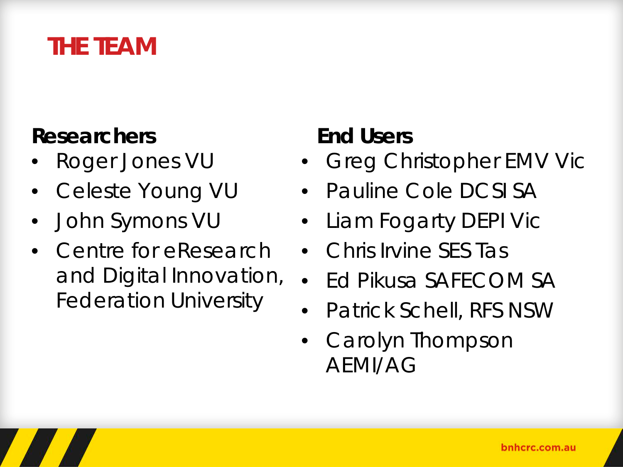#### **THE TEAM**

#### **Researchers**

- Roger Jones VU
- Celeste Young VU
- John Symons VU
- Centre for eResearch and Digital Innovation, Federation University

#### **End Users**

- Greg Christopher EMV Vic
- Pauline Cole DCSI SA
- Liam Fogarty DEPI Vic
- Chris Irvine SES Tas
- Ed Pikusa SAFECOM SA
- Patrick Schell, RFS NSW
- Carolyn Thompson AEMI/AG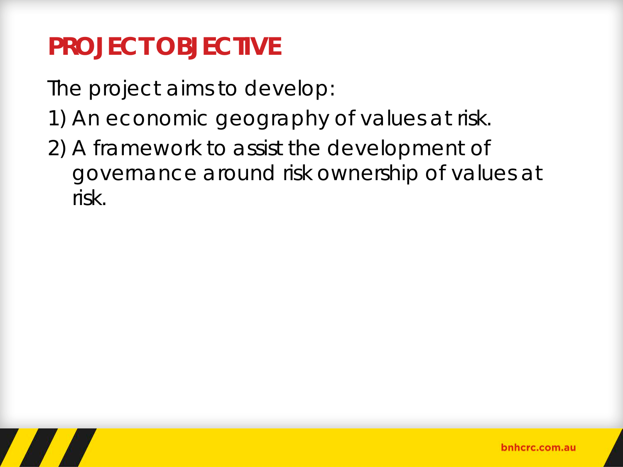# **PROJECT OBJECTIVE**

The project aims to develop:

- 1) An economic geography of values at risk.
- 2) A framework to assist the development of governance around risk ownership of values at risk.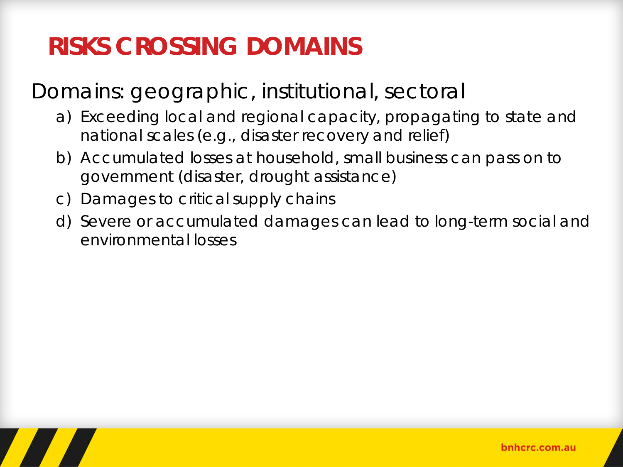# **RISKS CROSSING DOMAINS**

Domains: geographic, institutional, sectoral

- a) Exceeding local and regional capacity, propagating to state and national scales (e.g., disaster recovery and relief)
- b) Accumulated losses at household, small business can pass on to government (disaster, drought assistance)
- c) Damages to critical supply chains
- d) Severe or accumulated damages can lead to long-term social and environmental losses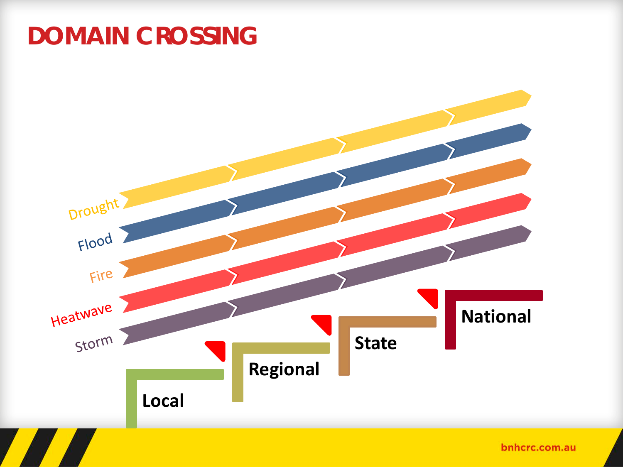### **DOMAIN CROSSING**

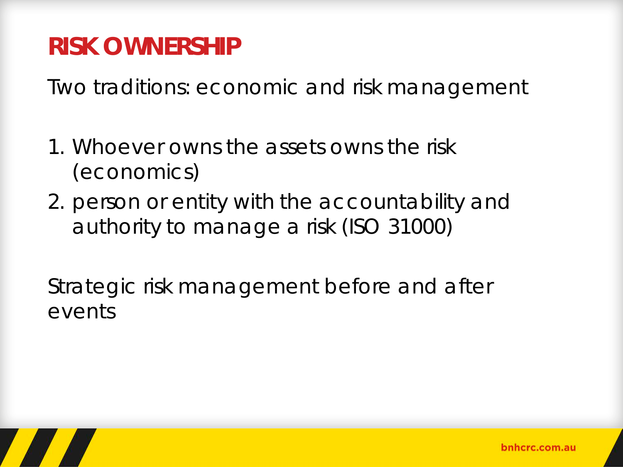### **RISK OWNERSHIP**

Two traditions: economic and risk management

- 1. Whoever owns the assets owns the risk (economics)
- 2. person or entity with the accountability and authority to manage a risk (ISO 31000)

Strategic risk management before and after events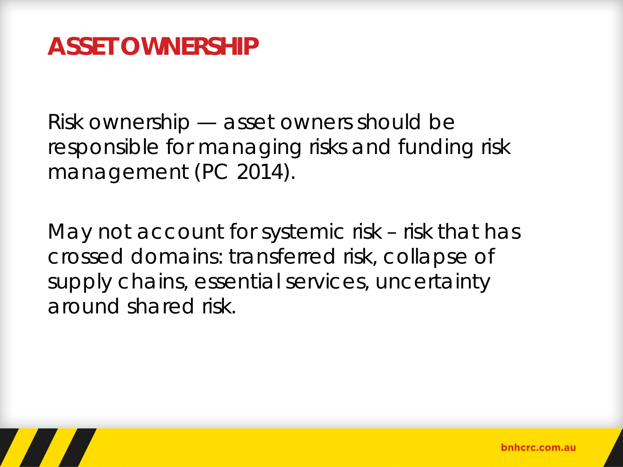#### **ASSET OWNERSHIP**

Risk ownership — asset owners should be responsible for managing risks and funding risk management (PC 2014).

May not account for systemic risk – risk that has crossed domains: transferred risk, collapse of supply chains, essential services, uncertainty around shared risk.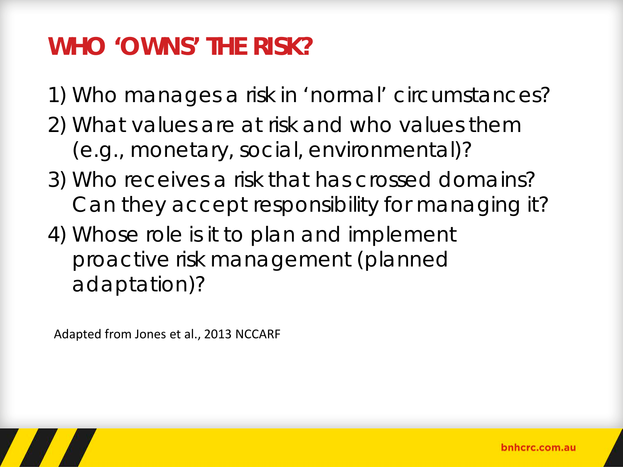### **WHO 'OWNS' THE RISK?**

1) Who manages a risk in 'normal' circumstances?

- 2) What values are at risk and who values them (e.g., monetary, social, environmental)?
- 3) Who receives a risk that has crossed domains? Can they accept responsibility for managing it?
- 4) Whose role is it to plan and implement proactive risk management (planned adaptation)?

Adapted from Jones et al., 2013 NCCARF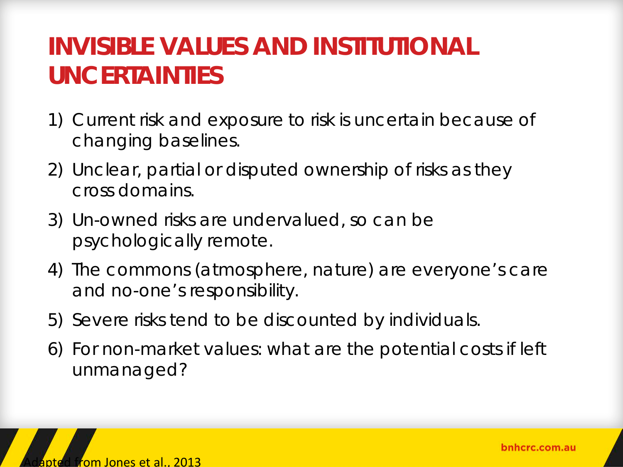### **INVISIBLE VALUES AND INSTITUTIONAL UNCERTAINTIES**

- 1) Current risk and exposure to risk is uncertain because of changing baselines.
- 2) Unclear, partial or disputed ownership of risks as they cross domains.
- 3) Un-owned risks are undervalued, so can be psychologically remote.
- 4) The commons (atmosphere, nature) are everyone's care and no-one's responsibility.
- 5) Severe risks tend to be discounted by individuals.
- 6) For non-market values: what are the potential costs if left unmanaged?



bnhcrc.com.au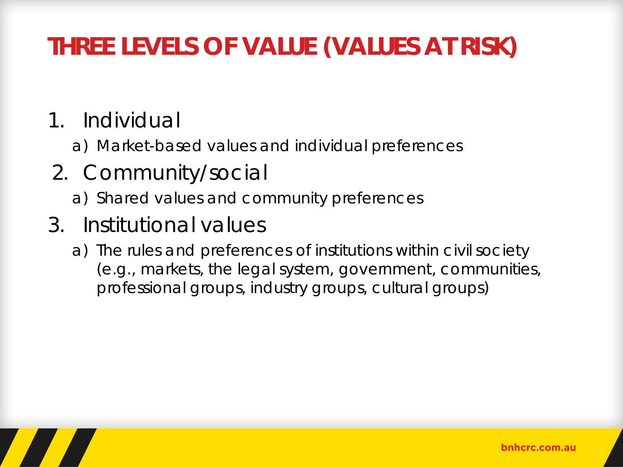# **THREE LEVELS OF VALUE (VALUES AT RISK)**

#### 1. Individual

- a) Market-based values and individual preferences
- 2. Community/social
	- a) Shared values and community preferences
- 3. Institutional values
	- a) The rules and preferences of institutions within civil society (e.g., markets, the legal system, government, communities, professional groups, industry groups, cultural groups)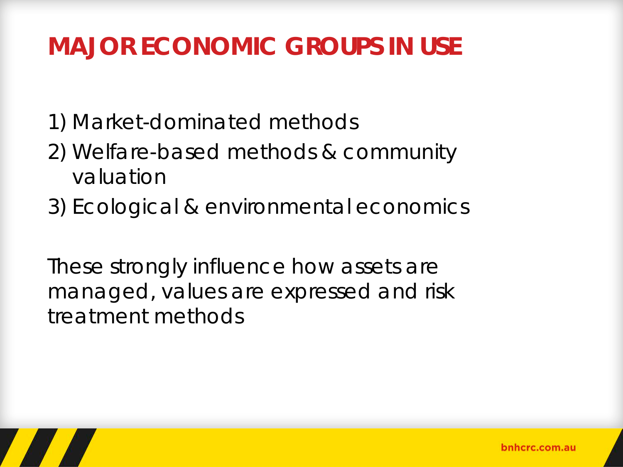# **MAJOR ECONOMIC GROUPS IN USE**

- 1) Market-dominated methods
- 2) Welfare-based methods & community valuation
- 3) Ecological & environmental economics

These strongly influence how assets are managed, values are expressed and risk treatment methods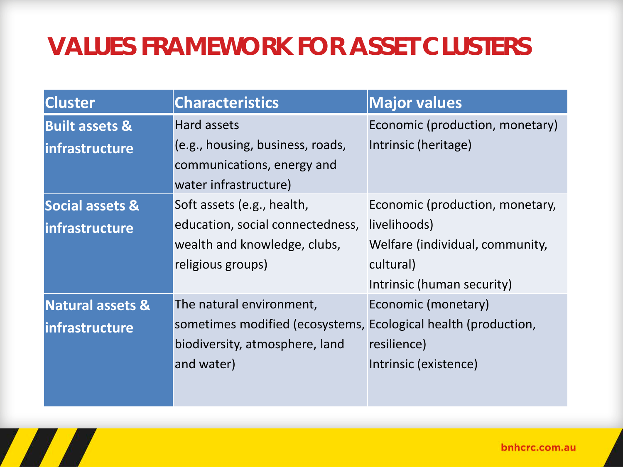# **VALUES FRAMEWORK FOR ASSET CLUSTERS**

| <b>Characteristics</b>                                         | <b>Major values</b>             |
|----------------------------------------------------------------|---------------------------------|
| Hard assets                                                    | Economic (production, monetary) |
| (e.g., housing, business, roads,                               | Intrinsic (heritage)            |
| communications, energy and                                     |                                 |
| water infrastructure)                                          |                                 |
| Soft assets (e.g., health,                                     | Economic (production, monetary, |
| education, social connectedness,                               | livelihoods)                    |
| wealth and knowledge, clubs,                                   | Welfare (individual, community, |
| religious groups)                                              | cultural)                       |
|                                                                | Intrinsic (human security)      |
| The natural environment,                                       | Economic (monetary)             |
| sometimes modified (ecosystems, Ecological health (production, |                                 |
| biodiversity, atmosphere, land                                 | resilience)                     |
| and water)                                                     | Intrinsic (existence)           |
|                                                                |                                 |
|                                                                |                                 |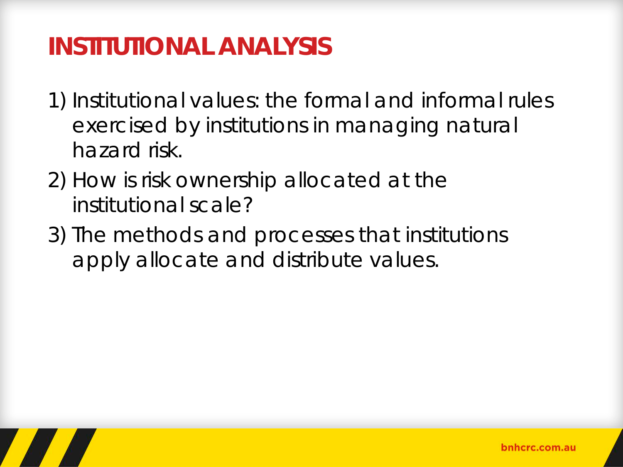### **INSTITUTIONAL ANALYSIS**

- 1) Institutional values: the formal and informal rules exercised by institutions in managing natural hazard risk.
- 2) How is risk ownership allocated at the institutional scale?
- 3) The methods and processes that institutions apply allocate and distribute values.

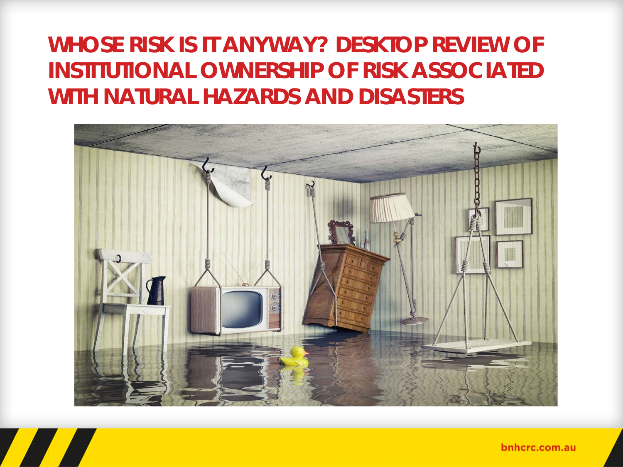#### **WHOSE RISK IS IT ANYWAY? DESKTOP REVIEW OF INSTITUTIONAL OWNERSHIP OF RISK ASSOCIATED WITH NATURAL HAZARDS AND DISASTERS**



bnhcrc.com.au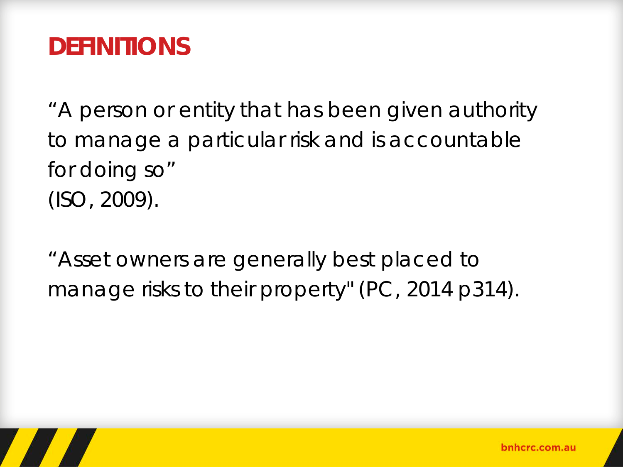### **DEFINITIONS**

"A person or entity that has been given authority to manage a particular risk and is accountable for doing so" (ISO, 2009).

"Asset owners are generally best placed to manage risks to their property" (PC, 2014 p314).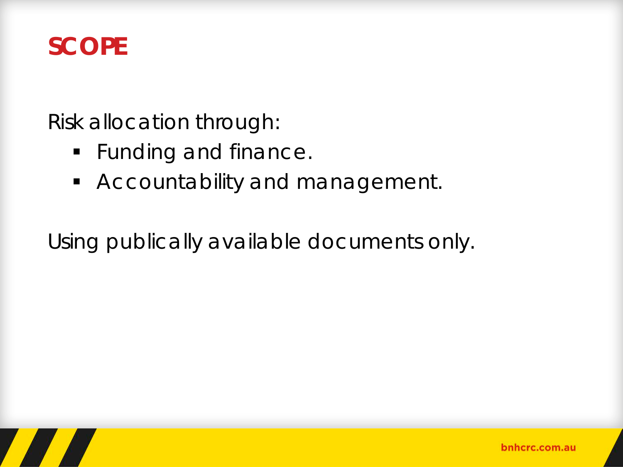#### **SCOPE**

Risk allocation through:

- **Funding and finance.**
- **Accountability and management.**

Using publically available documents only.

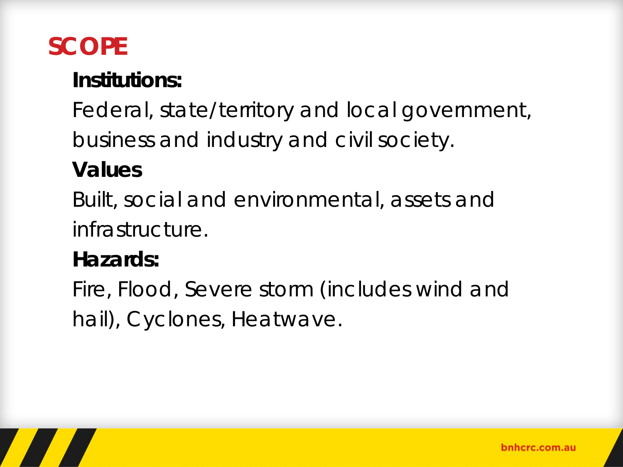# **SCOPE**

#### **Institutions:**

Federal, state/territory and local government,

business and industry and civil society.

#### **Values**

Built, social and environmental, assets and infrastructure.

#### **Hazards:**

Fire, Flood, Severe storm (includes wind and hail), Cyclones, Heatwave.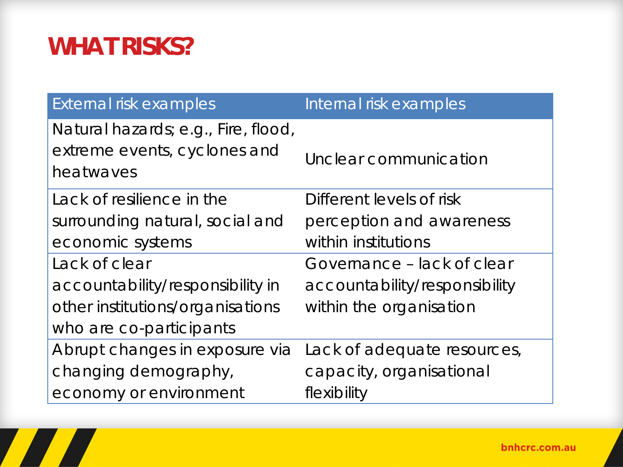# **WHAT RISKS?**

H

| External risk examples              | Internal risk examples        |
|-------------------------------------|-------------------------------|
| Natural hazards; e.g., Fire, flood, |                               |
| extreme events, cyclones and        | Unclear communication         |
| heatwaves                           |                               |
| Lack of resilience in the           | Different levels of risk      |
| surrounding natural, social and     | perception and awareness      |
| economic systems                    | within institutions           |
| Lack of clear                       | Governance - lack of clear    |
| accountability/responsibility in    | accountability/responsibility |
| other institutions/organisations    | within the organisation       |
| who are co-participants             |                               |
| Abrupt changes in exposure via      | Lack of adequate resources,   |
| changing demography,                | capacity, organisational      |
| economy or environment              | flexibility                   |

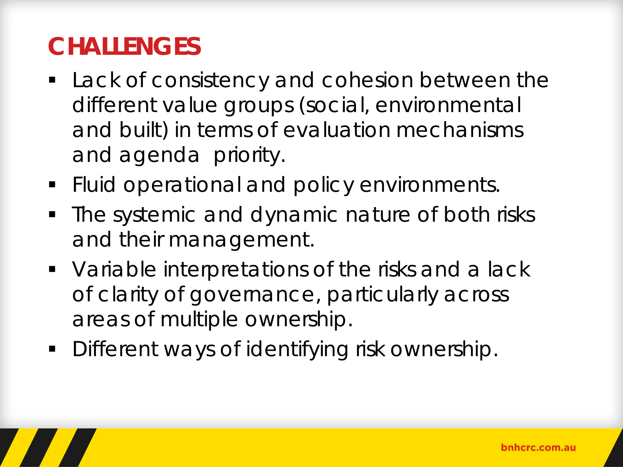# **CHALLENGES**

- **Lack of consistency and cohesion between the** different value groups (social, environmental and built) in terms of evaluation mechanisms and agenda priority.
- **Fluid operational and policy environments.**
- The systemic and dynamic nature of both risks and their management.
- **Variable interpretations of the risks and a lack** of clarity of governance, particularly across areas of multiple ownership.
- **Different ways of identifying risk ownership.**

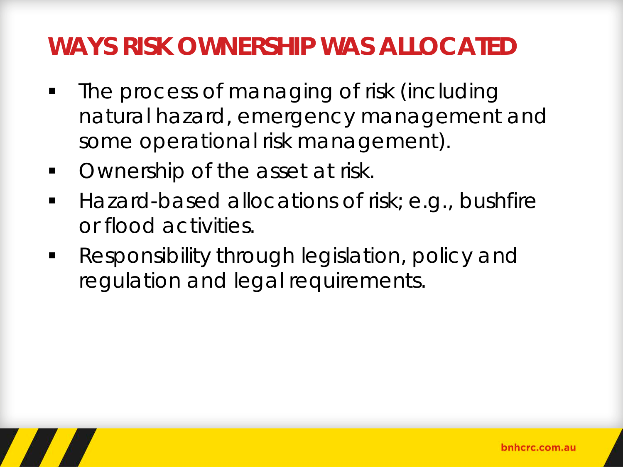### **WAYS RISK OWNERSHIP WAS ALLOCATED**

- The process of managing of risk (including natural hazard, emergency management and some operational risk management).
- **Ownership of the asset at risk.**
- Hazard-based allocations of risk; e.g., bushfire or flood activities.
- **Responsibility through legislation, policy and** regulation and legal requirements.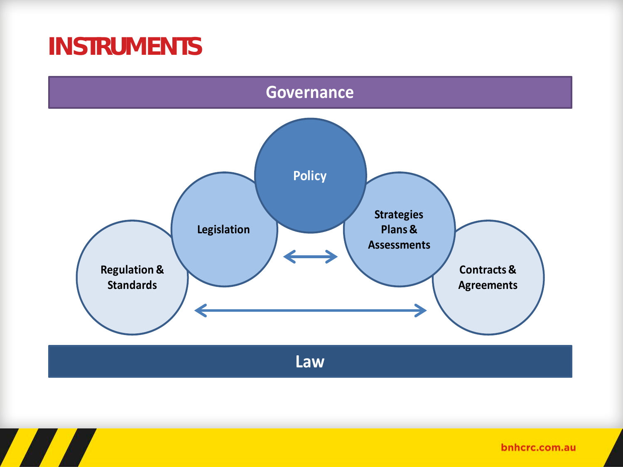#### **INSTRUMENTS**



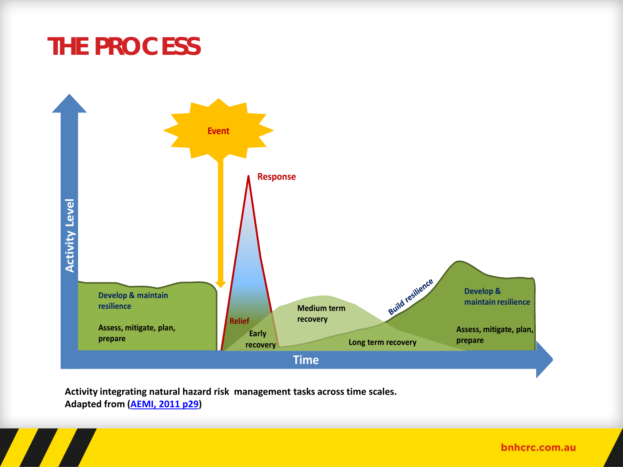



**Activity integrating natural hazard risk management tasks across time scales. Adapted from (AEMI, 2011 p29)**

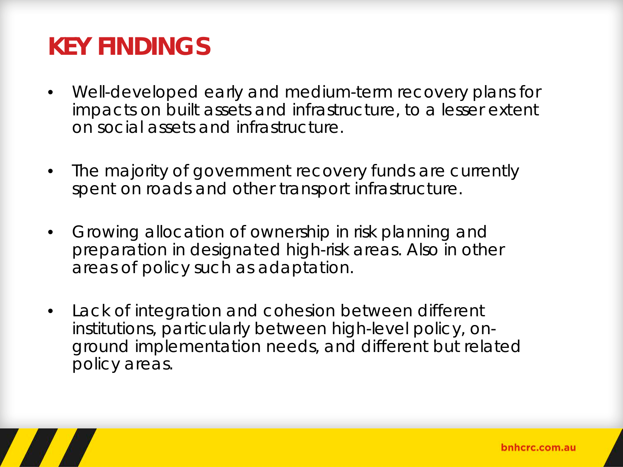# **KEY FINDINGS**

- Well-developed early and medium-term recovery plans for impacts on built assets and infrastructure, to a lesser extent on social assets and infrastructure.
- The majority of government recovery funds are currently spent on roads and other transport infrastructure.
- Growing allocation of ownership in risk planning and preparation in designated high-risk areas. Also in other areas of policy such as adaptation.
- Lack of integration and cohesion between different institutions, particularly between high-level policy, onground implementation needs, and different but related policy areas.

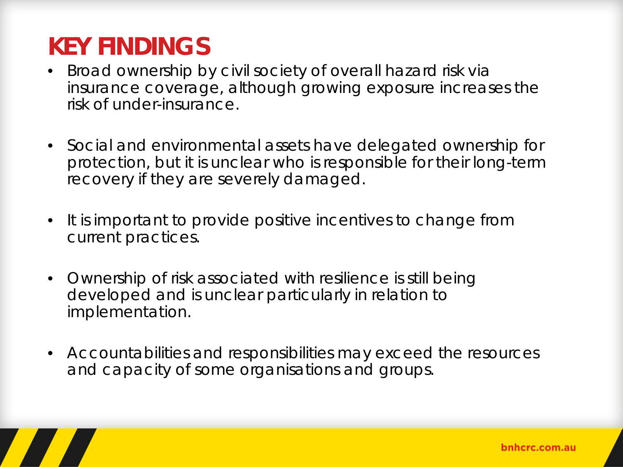# **KEY FINDINGS**

- Broad ownership by civil society of overall hazard risk via insurance coverage, although growing exposure increases the risk of under-insurance.
- Social and environmental assets have delegated ownership for protection, but it is unclear who is responsible for their long-term recovery if they are severely damaged.
- It is important to provide positive incentives to change from current practices.
- Ownership of risk associated with resilience is still being developed and is unclear particularly in relation to implementation.
- Accountabilities and responsibilities may exceed the resources and capacity of some organisations and groups.

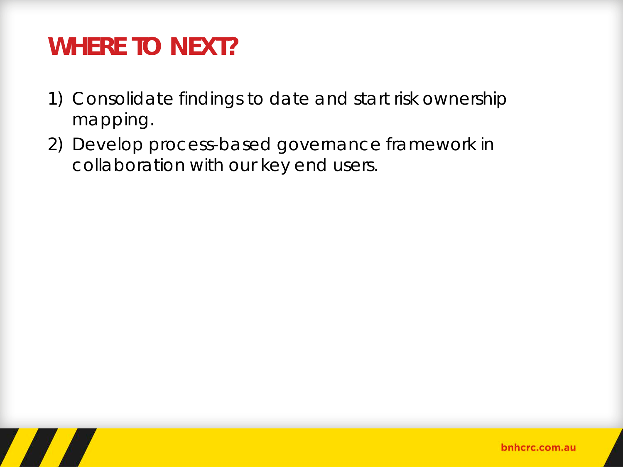### **WHERE TO NEXT?**

- 1) Consolidate findings to date and start risk ownership mapping.
- 2) Develop process-based governance framework in collaboration with our key end users.